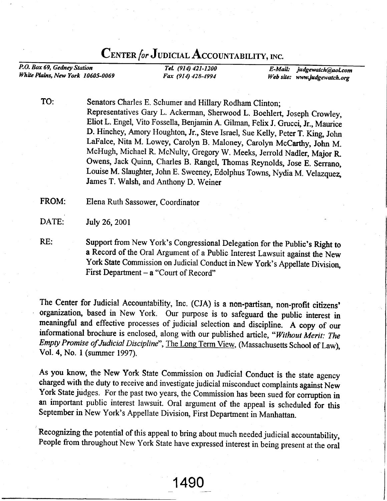## CENTER for JUDICIAL ACCOUNTABILITY, INC.

P.O. Box 69, Gedney Station White Plains, New York 10605-0069

TeL (914) 421-1200 Fax (914) 428-4994

E-Mail: judgewatch@aol.com Web site: www.judgewatch.org

TO: Senators Charles E. Schumer and Hillary Rodham Clinton; Representatives Gary L. Ackerman, Sherwood L. Boehlert, Joseph Crowley, Eliot L. Engel, Vito Fossella, Benjamin A. Gilman, Felix J. Grucci, Jr., Maurice D. Hinchey, Amory Houghton, Jr., Steve Israel, Sue Kelly, Peter T. King, John LaFalce, Nita M. Lowey, carolyn B. Maloney, carolyn Mccarthy, John M. McHugh, Michael R. McNulty, Gregory w. Meeks, Jerrold Nadler, Major R. Owens, Jack Quinn, Charles B. Rangel, Thomas Reynolds, Jose E. Serrano, Louise M. Slaughter, John E. Sweeney, Edolphus Towns, Nydia M. Velazquez, James T. Walsh, and Anthony D. Weiner

FROM: Elena Ruth Sassower, Coordinator

DATE: July 26,2001

RE: Support from New York's Congressional Delegation for the Public's Right to a Record of the Oral Argument of a Public Interest Lawsuit against the New York State Commission on Judicial Conduct in New York's Appellate Division, First Department  $-$  a "Court of Record"

The Center for Judicial Accountability, Inc. (CJA) is a non-partisan, non-profit citizens' organization, based in New York. Our purpose is to safeguard the public interest in meaningful and effective processes of judicial selection and discipline. A copy of our informational brochure is enclosed, along with our published article, "Without Merit: The Empty Promise of Judicial Discipline", The Long Term View, (Massachusetts School of Law), Vol. 4, No. I (summer 1997).

As you know, the New York State Commission on Judicial Conduct is the state agency charged with the duty to receive and investigate judicial misconduct complaints against New York State judges. For the past two years, the Commission has been sued for corruption in an important public interest lawsuit. Oral argument of the appeal is scheduled for this September in New York's Appellate Division, First Department in Manhattan.

Recognizing the potential of this appeal to bring about much needed judicial accountability, People from throughout New York State have expressed interest in being present at the oral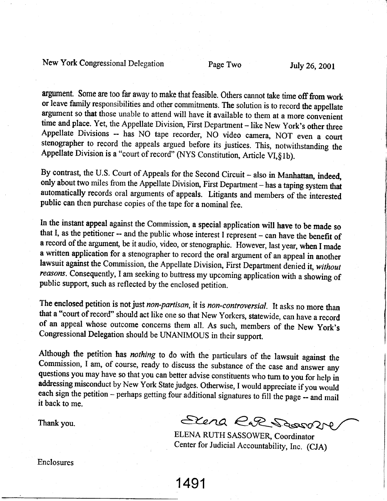New York Congressional Delegation Page Two July 26, 2001

argument. Some are too far away to make that feasible. Others cannot take time off from work or leave family responsibilities and other commitrnents. The solution is to record the appellate argument so that those unable to attend will have it available to them at a more convenient time and place. Yet, the Appellate Division, First Department - like New York's other three Appellate Divisions -- has NO tape recorder, NO video camera, NOT even a court stenographer to record the appeals argued before its justices. This, notwithstanding the Appellate Division is a "court of record" (NYS Constitution, Article VI, §1b).

By contrast, the U.S. Court of Appeals for the Second Circuit - also in Manhattan, indeed, only about two miles from the Appellate Division, First Department - has a taping system that automatically records oral arguments of appeals. Litigants and members of the interested public can then purchase copies of the tape for a nominal fee.

In the instant appeal against the Commission, a special application will have to be made so that I, as the petitioner -- and the public whose interest I represent - can have the benefit of a record of the argument, be it audio, video, or stenographic. However, last year, when I made a written application for a stenographer to record the oral argument of an appeal in another lawsuit against the Commission, the Appellate Division, First Department denied it, without reasons. Consequently, I am seeking to buttress my upcoming application with a showing of public support, such as reflected by the enclosed petition.

The enclosed petition is not just non-partisan, it is non-controversial. It asks no more than that a "court of record" should act like one so that New Yorkers, statewide, can have a record of an appeal whose outcome concerns them all. As such, members of the New York's Congressional Delegation should be UNANIMOUS in their support.

Although the petition has *nothing* to do with the particulars of the lawsuit against the Commission, I am, of course, ready to discuss the substance of the case and answer any questions you may have so that you can better

1491

Thank you.  $\epsilon$ leng  $\epsilon$ Ressoli

ELENA RUTH SASSOWER, Coordinator Center for Judicial Accountability, Inc. (CJA)

Enclosures